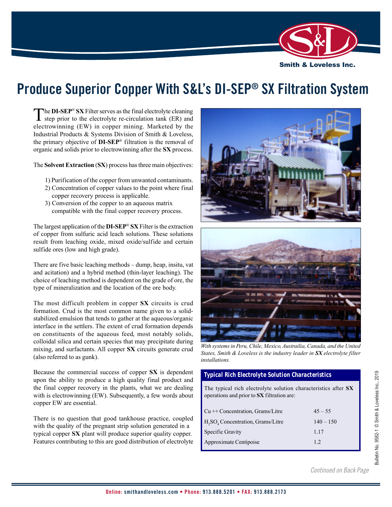

# **Produce Superior Copper With S&L's DI-SEP® SX Filtration System**

The **DI-SEP<sup>®</sup> SX** Filter serves as the final electrolyte cleaning<br>step prior to the electrolyte re-circulation tank (ER) and electrowinning (EW) in copper mining. Marketed by the Industrial Products & Systems Division of Smith & Loveless, the primary objective of **DI-SEP**® filtration is the removal of organic and solids prior to electrowinning after the **SX** process.

The **Solvent Extraction** (**SX**) process has three main objectives:

- 1) Purification of the copper from unwanted contaminants.
- 2) Concentration of copper values to the point where final copper recovery process is applicable.
- 3) Conversion of the copper to an aqueous matrix compatible with the final copper recovery process.

The largest application of the **DI-SEP**® **SX** Filter is the extraction of copper from sulfuric acid leach solutions. These solutions result from leaching oxide, mixed oxide/sulfide and certain sulfide ores (low and high grade).

There are five basic leaching methods – dump, heap, insitu, vat and acitation) and a hybrid method (thin-layer leaching). The choice of leaching method is dependent on the grade of ore, the type of mineralization and the location of the ore body.

The most difficult problem in copper **SX** circuits is crud formation. Crud is the most common name given to a solidstabilized emulsion that tends to gather at the aqueous/organic interface in the settlers. The extent of crud formation depends on constituents of the aqueous feed, most notably solids, colloidal silica and certain species that may precipitate during mixing, and surfactants. All copper **SX** circuits generate crud (also referred to as gunk).

Because the commercial success of copper **SX** is dependent upon the ability to produce a high quality final product and the final copper recovery in the plants, what we are dealing with is electrowinning (EW). Subsequently, a few words about copper EW are essential.

There is no question that good tankhouse practice, coupled with the quality of the pregnant strip solution generated in a typical copper **SX** plant will produce superior quality copper. Features contributing to this are good distribution of electrolyte





*With systems in Peru, Chile, Mexico, Austrailia, Canada, and the United States, Smith & Loveless is the industry leader in SX electrolyte filter installations.*

## *Typical Rich Electrolyte Solution Characteristics*

The typical rich electrolyte solution characteristics after **SX** operations and prior to **SX** filtration are:

| $Cu + +$ Concentration, Grams/Litre | $45 - 55$   |
|-------------------------------------|-------------|
| $H2SO4$ Concentration, Grams/Litre  | $140 - 150$ |
| Specific Gravity                    | 1 1 7       |
| Approximate Centipoise              | 12          |

*Continued on Back Page E-mail: answers@smithandloveless.com • Phone: 913.888.5201 • FAX: 913.888.2173 E-mail: answers@smithandloveless.com • Phone: 913.888.5201 • FAX: 913.888.2173*